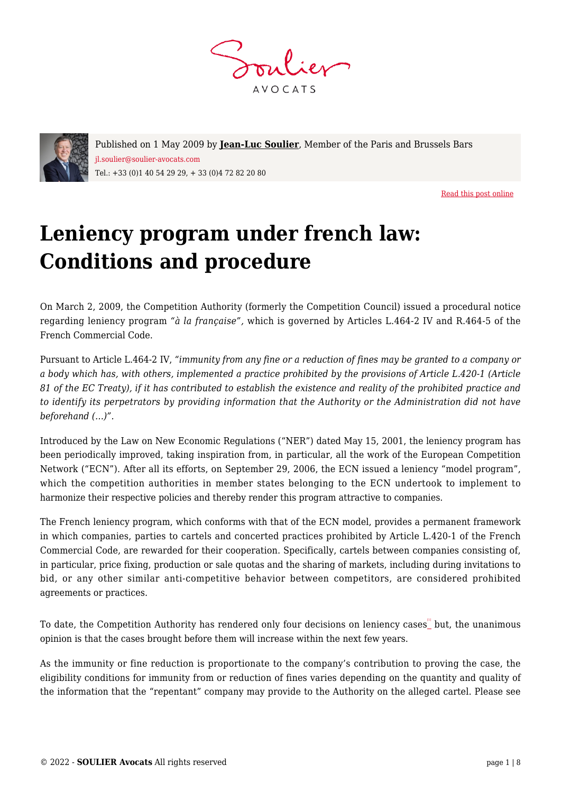



Published on 1 May 2009 by **[Jean-Luc Soulier](https://www.soulier-avocats.com/en/equipe/jean-luc-soulier-en/)**, Member of the Paris and Brussels Bars jl.soulier@soulier-avocats.com Tel.: +33 (0)1 40 54 29 29, + 33 (0)4 72 82 20 80

[Read this post online](https://www.soulier-avocats.com/en/leniency-program-under-french-law-conditions-and-procedure/)

# **Leniency program under french law: Conditions and procedure**

On March 2, 2009, the Competition Authority (formerly the Competition Council) issued a procedural notice regarding leniency program *"à la française",* which is governed by Articles L.464-2 IV and R.464-5 of the French Commercial Code.

Pursuant to Article L.464-2 IV, *"immunity from any fine or a reduction of fines may be granted to a company or a body which has, with others, implemented a practice prohibited by the provisions of Article L.420-1 (Article 81 of the EC Treaty), if it has contributed to establish the existence and reality of the prohibited practice and to identify its perpetrators by providing information that the Authority or the Administration did not have beforehand (…)".* 

Introduced by the Law on New Economic Regulations ("NER") dated May 15, 2001, the leniency program has been periodically improved, taking inspiration from, in particular, all the work of the European Competition Network ("ECN"). After all its efforts, on September 29, 2006, the ECN issued a leniency "model program", which the competition authorities in member states belonging to the ECN undertook to implement to harmonize their respective policies and thereby render this program attractive to companies.

The French leniency program, which conforms with that of the ECN model, provides a permanent framework in which companies, parties to cartels and concerted practices prohibited by Article L.420-1 of the French Commercial Code, are rewarded for their cooperation. Specifically, cartels between companies consisting of, in particular, price fixing, production or sale quotas and the sharing of markets, including during invitations to bid, or any other similar anti-competitive behavior between competitors, are considered prohibited agreements or practices.

To date, the Competition Authority has rendered only four decisions on leniency cases. Dut, the unanimous opinion is that the cases brought before them will increase within the next few years.

As the immunity or fine reduction is proportionate to the company's contribution to proving the case, the eligibility conditions for immunity from or reduction of fines varies depending on the quantity and quality of the information that the "repentant" company may provide to the Authority on the alleged cartel. Please see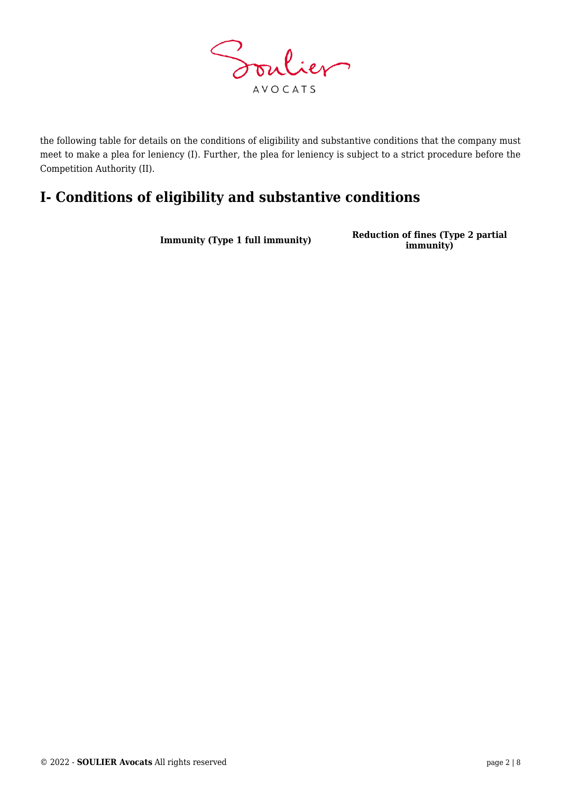

the following table for details on the conditions of eligibility and substantive conditions that the company must meet to make a plea for leniency (I). Further, the plea for leniency is subject to a strict procedure before the Competition Authority (II).

## **I- Conditions of eligibility and substantive conditions**

**Immunity (Type 1 full immunity) Reduction of fines (Type 2 partial immunity)**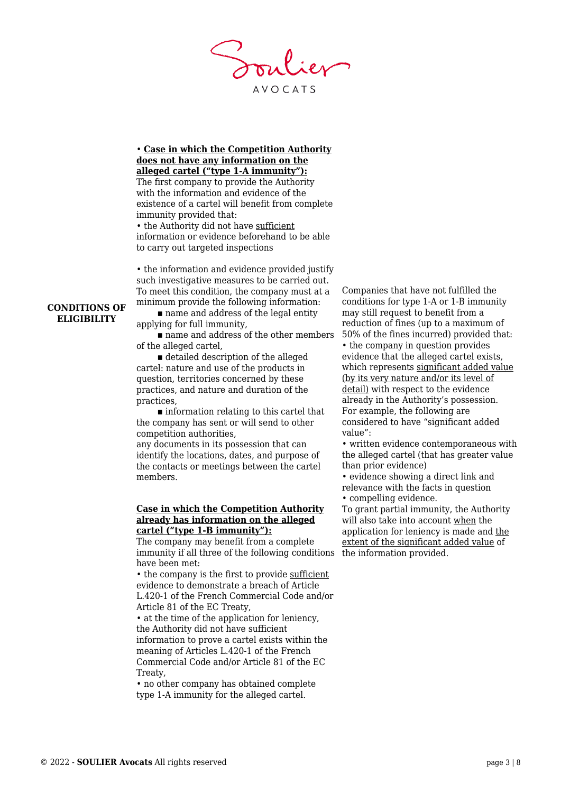**AVOCATS** 

#### • **Case in which the Competition Authority does not have any information on the alleged cartel ("type 1-A immunity"):** The first company to provide the Authority

with the information and evidence of the existence of a cartel will benefit from complete immunity provided that:

• the Authority did not have sufficient information or evidence beforehand to be able to carry out targeted inspections

• the information and evidence provided justify such investigative measures to be carried out. To meet this condition, the company must at a minimum provide the following information:

■ name and address of the legal entity applying for full immunity,

name and address of the other members of the alleged cartel,

 $\blacksquare$  detailed description of the alleged cartel: nature and use of the products in question, territories concerned by these practices, and nature and duration of the practices,

 $\blacksquare$  information relating to this cartel that the company has sent or will send to other competition authorities,

any documents in its possession that can identify the locations, dates, and purpose of the contacts or meetings between the cartel members.

#### **Case in which the Competition Authority already has information on the alleged cartel ("type 1-B immunity"):**

immunity if all three of the following conditions the information provided. The company may benefit from a complete have been met:

• the company is the first to provide sufficient evidence to demonstrate a breach of Article L.420-1 of the French Commercial Code and/or Article 81 of the EC Treaty,

• at the time of the application for leniency, the Authority did not have sufficient information to prove a cartel exists within the meaning of Articles L.420-1 of the French Commercial Code and/or Article 81 of the EC Treaty,

• no other company has obtained complete type 1-A immunity for the alleged cartel.

Companies that have not fulfilled the conditions for type 1-A or 1-B immunity may still request to benefit from a reduction of fines (up to a maximum of 50% of the fines incurred) provided that: • the company in question provides evidence that the alleged cartel exists, which represents significant added value (by its very nature and/or its level of detail) with respect to the evidence already in the Authority's possession. For example, the following are considered to have "significant added value":

• written evidence contemporaneous with the alleged cartel (that has greater value than prior evidence)

• evidence showing a direct link and relevance with the facts in question • compelling evidence.

To grant partial immunity, the Authority will also take into account when the application for leniency is made and the extent of the significant added value of

#### **CONDITIONS OF ELIGIBILITY**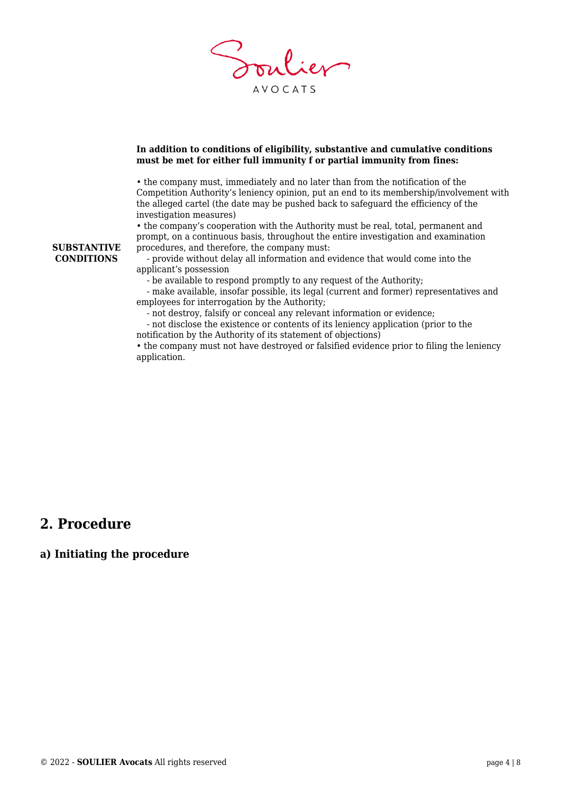

#### **In addition to conditions of eligibility, substantive and cumulative conditions must be met for either full immunity f or partial immunity from fines:**

• the company must, immediately and no later than from the notification of the Competition Authority's leniency opinion, put an end to its membership/involvement with the alleged cartel (the date may be pushed back to safeguard the efficiency of the investigation measures)

• the company's cooperation with the Authority must be real, total, permanent and prompt, on a continuous basis, throughout the entire investigation and examination procedures, and therefore, the company must:

 - provide without delay all information and evidence that would come into the applicant's possession

- be available to respond promptly to any request of the Authority;

 - make available, insofar possible, its legal (current and former) representatives and employees for interrogation by the Authority;

- not destroy, falsify or conceal any relevant information or evidence;

 - not disclose the existence or contents of its leniency application (prior to the notification by the Authority of its statement of objections)

• the company must not have destroyed or falsified evidence prior to filing the leniency application.

## **2. Procedure**

### **a) Initiating the procedure**

**SUBSTANTIVE CONDITIONS**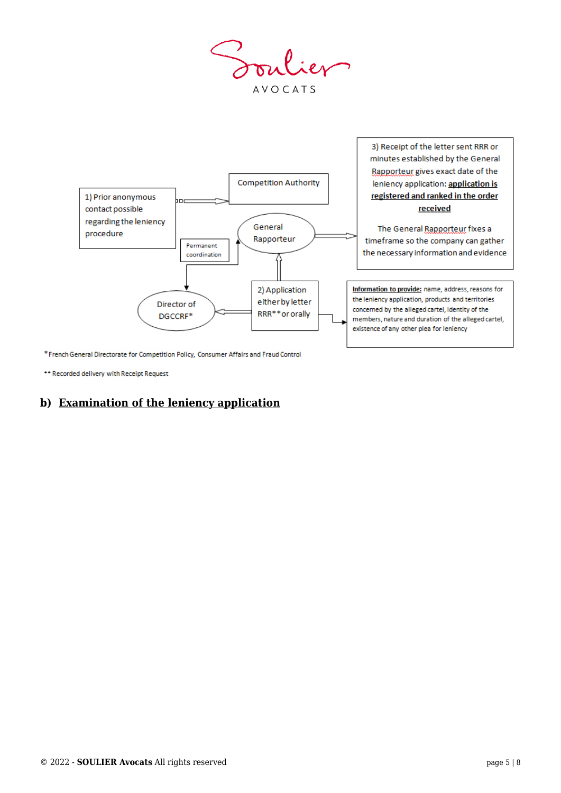Soulier **AVOCATS** 



\* French General Directorate for Competition Policy, Consumer Affairs and Fraud Control

\*\* Recorded delivery with Receipt Request

## **b) Examination of the leniency application**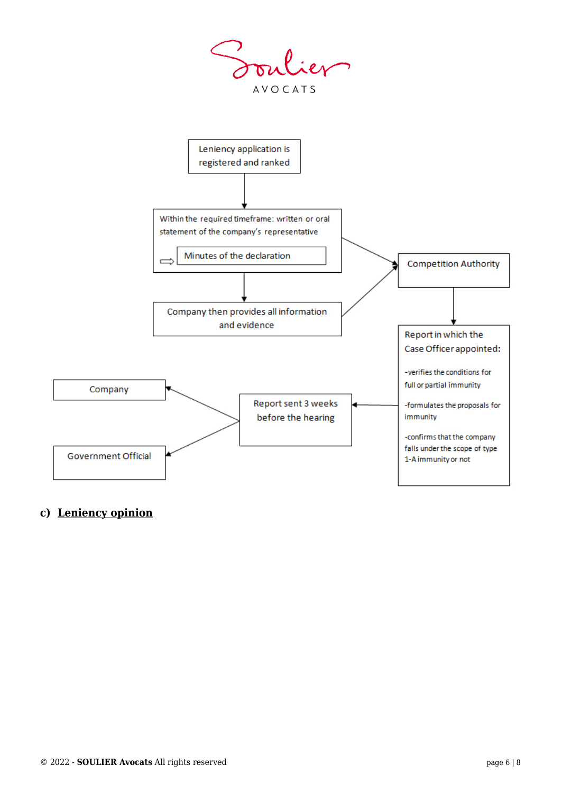



## **c) Leniency opinion**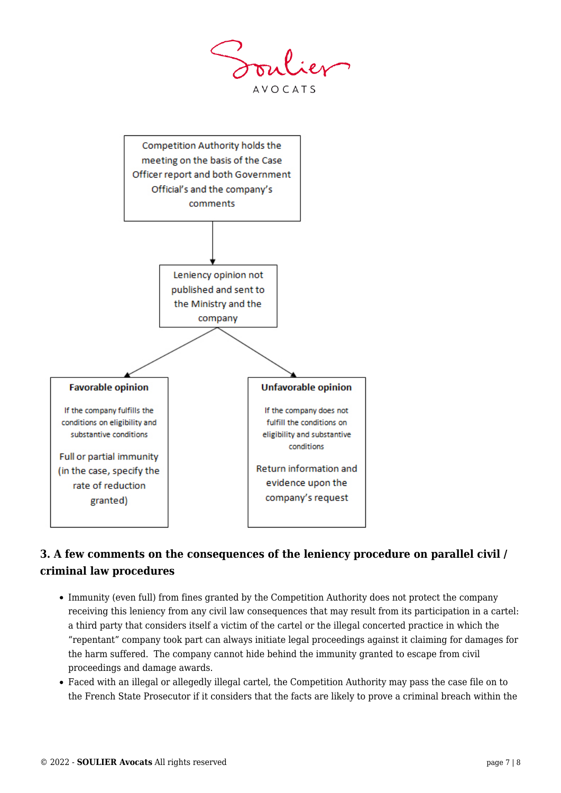**AVOCATS** 



## **3. A few comments on the consequences of the leniency procedure on parallel civil / criminal law procedures**

- Immunity (even full) from fines granted by the Competition Authority does not protect the company receiving this leniency from any civil law consequences that may result from its participation in a cartel: a third party that considers itself a victim of the cartel or the illegal concerted practice in which the "repentant" company took part can always initiate legal proceedings against it claiming for damages for the harm suffered. The company cannot hide behind the immunity granted to escape from civil proceedings and damage awards.
- Faced with an illegal or allegedly illegal cartel, the Competition Authority may pass the case file on to the French State Prosecutor if it considers that the facts are likely to prove a criminal breach within the